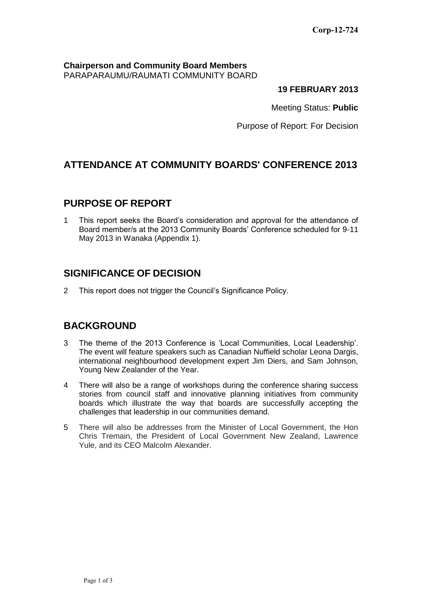#### **Chairperson and Community Board Members** PARAPARAUMU/RAUMATI COMMUNITY BOARD

#### **19 FEBRUARY 2013**

Meeting Status: **Public**

Purpose of Report: For Decision

# **ATTENDANCE AT COMMUNITY BOARDS' CONFERENCE 2013**

### **PURPOSE OF REPORT**

1 This report seeks the Board's consideration and approval for the attendance of Board member/s at the 2013 Community Boards' Conference scheduled for 9-11 May 2013 in Wanaka (Appendix 1).

# **SIGNIFICANCE OF DECISION**

2 This report does not trigger the Council's Significance Policy.

# **BACKGROUND**

- 3 The theme of the 2013 Conference is 'Local Communities, Local Leadership'. The event will feature speakers such as Canadian Nuffield scholar Leona Dargis, international neighbourhood development expert Jim Diers, and Sam Johnson, Young New Zealander of the Year.
- 4 There will also be a range of workshops during the conference sharing success stories from council staff and innovative planning initiatives from community boards which illustrate the way that boards are successfully accepting the challenges that leadership in our communities demand.
- 5 There will also be addresses from the Minister of Local Government, the Hon Chris Tremain, the President of Local Government New Zealand, Lawrence Yule, and its CEO Malcolm Alexander.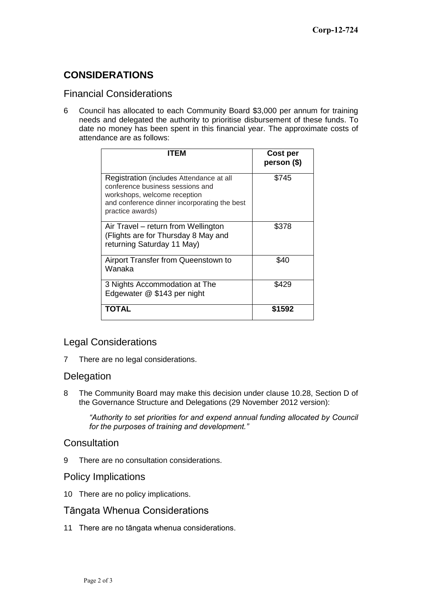# **CONSIDERATIONS**

#### Financial Considerations

6 Council has allocated to each Community Board \$3,000 per annum for training needs and delegated the authority to prioritise disbursement of these funds. To date no money has been spent in this financial year. The approximate costs of attendance are as follows:

| <b>ITFM</b>                                                                                                                                                                      | Cost per<br>person (\$) |
|----------------------------------------------------------------------------------------------------------------------------------------------------------------------------------|-------------------------|
| Registration (includes Attendance at all<br>conference business sessions and<br>workshops, welcome reception<br>and conference dinner incorporating the best<br>practice awards) | \$745                   |
| Air Travel – return from Wellington<br>(Flights are for Thursday 8 May and<br>returning Saturday 11 May)                                                                         | \$378                   |
| Airport Transfer from Queenstown to<br>Wanaka                                                                                                                                    | \$40                    |
| 3 Nights Accommodation at The<br>Edgewater @ \$143 per night                                                                                                                     | \$429                   |
| ΤΟΤΑL                                                                                                                                                                            | \$1592                  |

### Legal Considerations

7 There are no legal considerations.

### **Delegation**

8 The Community Board may make this decision under clause 10.28, Section D of the Governance Structure and Delegations (29 November 2012 version):

*"Authority to set priorities for and expend annual funding allocated by Council for the purposes of training and development."*

### **Consultation**

9 There are no consultation considerations.

#### Policy Implications

10 There are no policy implications.

### Tāngata Whenua Considerations

11 There are no tāngata whenua considerations.